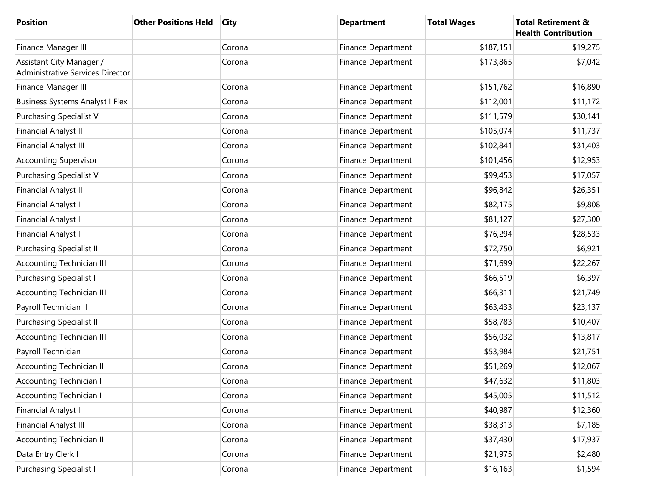| <b>Position</b>                                              | <b>Other Positions Held</b> | City   | <b>Department</b>         | <b>Total Wages</b> | <b>Total Retirement &amp;</b><br><b>Health Contribution</b> |
|--------------------------------------------------------------|-----------------------------|--------|---------------------------|--------------------|-------------------------------------------------------------|
| Finance Manager III                                          |                             | Corona | <b>Finance Department</b> | \$187,151          | \$19,275                                                    |
| Assistant City Manager /<br>Administrative Services Director |                             | Corona | <b>Finance Department</b> | \$173,865          | \$7,042                                                     |
| Finance Manager III                                          |                             | Corona | <b>Finance Department</b> | \$151,762          | \$16,890                                                    |
| <b>Business Systems Analyst I Flex</b>                       |                             | Corona | <b>Finance Department</b> | \$112,001          | \$11,172                                                    |
| <b>Purchasing Specialist V</b>                               |                             | Corona | <b>Finance Department</b> | \$111,579          | \$30,141                                                    |
| <b>Financial Analyst II</b>                                  |                             | Corona | <b>Finance Department</b> | \$105,074          | \$11,737                                                    |
| <b>Financial Analyst III</b>                                 |                             | Corona | <b>Finance Department</b> | \$102,841          | \$31,403                                                    |
| <b>Accounting Supervisor</b>                                 |                             | Corona | Finance Department        | \$101,456          | \$12,953                                                    |
| <b>Purchasing Specialist V</b>                               |                             | Corona | <b>Finance Department</b> | \$99,453           | \$17,057                                                    |
| <b>Financial Analyst II</b>                                  |                             | Corona | <b>Finance Department</b> | \$96,842           | \$26,351                                                    |
| <b>Financial Analyst I</b>                                   |                             | Corona | <b>Finance Department</b> | \$82,175           | \$9,808                                                     |
| Financial Analyst I                                          |                             | Corona | <b>Finance Department</b> | \$81,127           | \$27,300                                                    |
| Financial Analyst I                                          |                             | Corona | <b>Finance Department</b> | \$76,294           | \$28,533                                                    |
| <b>Purchasing Specialist III</b>                             |                             | Corona | Finance Department        | \$72,750           | \$6,921                                                     |
| Accounting Technician III                                    |                             | Corona | <b>Finance Department</b> | \$71,699           | \$22,267                                                    |
| <b>Purchasing Specialist I</b>                               |                             | Corona | <b>Finance Department</b> | \$66,519           | \$6,397                                                     |
| Accounting Technician III                                    |                             | Corona | <b>Finance Department</b> | \$66,311           | \$21,749                                                    |
| Payroll Technician II                                        |                             | Corona | Finance Department        | \$63,433           | \$23,137                                                    |
| <b>Purchasing Specialist III</b>                             |                             | Corona | <b>Finance Department</b> | \$58,783           | \$10,407                                                    |
| Accounting Technician III                                    |                             | Corona | Finance Department        | \$56,032           | \$13,817                                                    |
| Payroll Technician I                                         |                             | Corona | Finance Department        | \$53,984           | \$21,751                                                    |
| <b>Accounting Technician II</b>                              |                             | Corona | <b>Finance Department</b> | \$51,269           | \$12,067                                                    |
| <b>Accounting Technician I</b>                               |                             | Corona | Finance Department        | \$47,632           | \$11,803                                                    |
| <b>Accounting Technician I</b>                               |                             | Corona | Finance Department        | \$45,005           | \$11,512                                                    |
| <b>Financial Analyst I</b>                                   |                             | Corona | Finance Department        | \$40,987           | \$12,360                                                    |
| <b>Financial Analyst III</b>                                 |                             | Corona | Finance Department        | \$38,313           | \$7,185                                                     |
| <b>Accounting Technician II</b>                              |                             | Corona | Finance Department        | \$37,430           | \$17,937                                                    |
| Data Entry Clerk I                                           |                             | Corona | Finance Department        | \$21,975           | \$2,480                                                     |
| <b>Purchasing Specialist I</b>                               |                             | Corona | Finance Department        | \$16,163           | \$1,594                                                     |